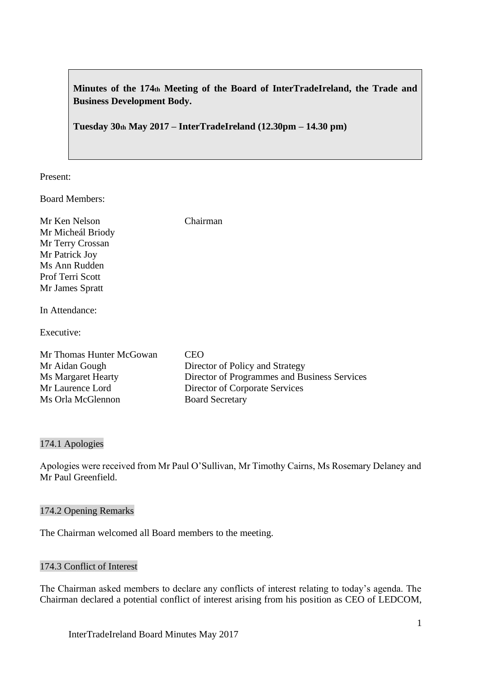**Minutes of the 174th Meeting of the Board of InterTradeIreland, the Trade and Business Development Body.**

**Tuesday 30th May 2017 – InterTradeIreland (12.30pm – 14.30 pm)**

Present:

Board Members:

| Mr Ken Nelson<br>Mr Micheál Briody<br>Mr Terry Crossan<br>Mr Patrick Joy | Chairman                                     |
|--------------------------------------------------------------------------|----------------------------------------------|
| Ms Ann Rudden                                                            |                                              |
| Prof Terri Scott                                                         |                                              |
| Mr James Spratt                                                          |                                              |
| In Attendance:<br>Executive:                                             |                                              |
| Mr Thomas Hunter McGowan                                                 | CEO                                          |
| Mr Aidan Gough                                                           | Director of Policy and Strategy              |
| <b>Ms Margaret Hearty</b>                                                | Director of Programmes and Business Services |
| Mr Laurence Lord                                                         | Director of Corporate Services               |
| Ms Orla McGlennon                                                        | <b>Board Secretary</b>                       |

### 174.1 Apologies

Apologies were received from Mr Paul O'Sullivan, Mr Timothy Cairns, Ms Rosemary Delaney and Mr Paul Greenfield.

## 174.2 Opening Remarks

The Chairman welcomed all Board members to the meeting.

### 174.3 Conflict of Interest

The Chairman asked members to declare any conflicts of interest relating to today's agenda. The Chairman declared a potential conflict of interest arising from his position as CEO of LEDCOM,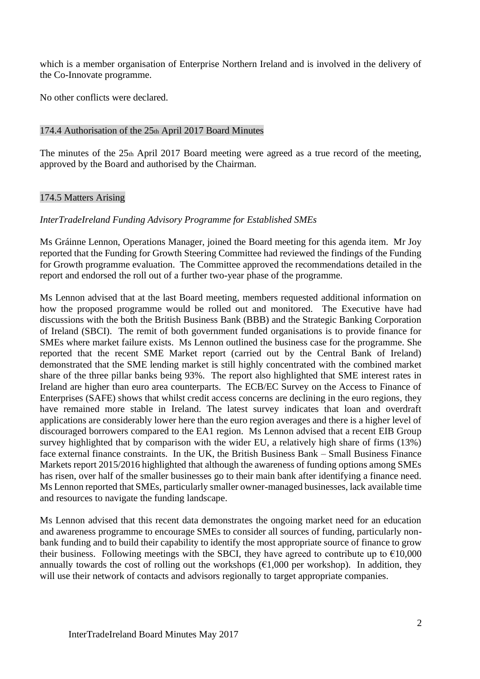which is a member organisation of Enterprise Northern Ireland and is involved in the delivery of the Co-Innovate programme.

No other conflicts were declared.

### 174.4 Authorisation of the 25th April 2017 Board Minutes

The minutes of the 25th April 2017 Board meeting were agreed as a true record of the meeting, approved by the Board and authorised by the Chairman.

### 174.5 Matters Arising

### *InterTradeIreland Funding Advisory Programme for Established SMEs*

Ms Gráinne Lennon, Operations Manager, joined the Board meeting for this agenda item. Mr Joy reported that the Funding for Growth Steering Committee had reviewed the findings of the Funding for Growth programme evaluation. The Committee approved the recommendations detailed in the report and endorsed the roll out of a further two-year phase of the programme.

Ms Lennon advised that at the last Board meeting, members requested additional information on how the proposed programme would be rolled out and monitored. The Executive have had discussions with the both the British Business Bank (BBB) and the Strategic Banking Corporation of Ireland (SBCI). The remit of both government funded organisations is to provide finance for SMEs where market failure exists. Ms Lennon outlined the business case for the programme. She reported that the recent SME Market report (carried out by the Central Bank of Ireland) demonstrated that the SME lending market is still highly concentrated with the combined market share of the three pillar banks being 93%. The report also highlighted that SME interest rates in Ireland are higher than euro area counterparts. The ECB/EC Survey on the Access to Finance of Enterprises (SAFE) shows that whilst credit access concerns are declining in the euro regions, they have remained more stable in Ireland. The latest survey indicates that loan and overdraft applications are considerably lower here than the euro region averages and there is a higher level of discouraged borrowers compared to the EA1 region. Ms Lennon advised that a recent EIB Group survey highlighted that by comparison with the wider EU, a relatively high share of firms (13%) face external finance constraints. In the UK, the British Business Bank – Small Business Finance Markets report 2015/2016 highlighted that although the awareness of funding options among SMEs has risen, over half of the smaller businesses go to their main bank after identifying a finance need. Ms Lennon reported that SMEs, particularly smaller owner-managed businesses, lack available time and resources to navigate the funding landscape.

Ms Lennon advised that this recent data demonstrates the ongoing market need for an education and awareness programme to encourage SMEs to consider all sources of funding, particularly nonbank funding and to build their capability to identify the most appropriate source of finance to grow their business. Following meetings with the SBCI, they have agreed to contribute up to  $\epsilon$ 10,000 annually towards the cost of rolling out the workshops  $(\epsilon 1,000)$  per workshop). In addition, they will use their network of contacts and advisors regionally to target appropriate companies.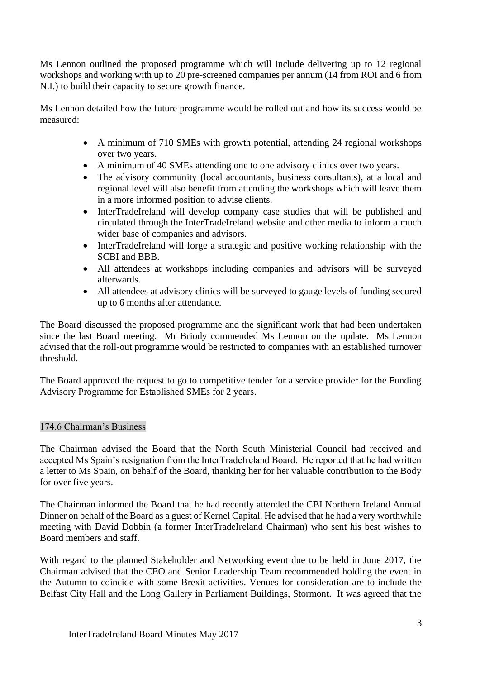Ms Lennon outlined the proposed programme which will include delivering up to 12 regional workshops and working with up to 20 pre-screened companies per annum (14 from ROI and 6 from N.I.) to build their capacity to secure growth finance.

Ms Lennon detailed how the future programme would be rolled out and how its success would be measured:

- A minimum of 710 SMEs with growth potential, attending 24 regional workshops over two years.
- A minimum of 40 SMEs attending one to one advisory clinics over two years.
- The advisory community (local accountants, business consultants), at a local and regional level will also benefit from attending the workshops which will leave them in a more informed position to advise clients.
- InterTradeIreland will develop company case studies that will be published and circulated through the InterTradeIreland website and other media to inform a much wider base of companies and advisors.
- InterTradeIreland will forge a strategic and positive working relationship with the SCBI and BBB.
- All attendees at workshops including companies and advisors will be surveyed afterwards.
- All attendees at advisory clinics will be surveyed to gauge levels of funding secured up to 6 months after attendance.

The Board discussed the proposed programme and the significant work that had been undertaken since the last Board meeting. Mr Briody commended Ms Lennon on the update. Ms Lennon advised that the roll-out programme would be restricted to companies with an established turnover threshold.

The Board approved the request to go to competitive tender for a service provider for the Funding Advisory Programme for Established SMEs for 2 years.

# 174.6 Chairman's Business

The Chairman advised the Board that the North South Ministerial Council had received and accepted Ms Spain's resignation from the InterTradeIreland Board. He reported that he had written a letter to Ms Spain, on behalf of the Board, thanking her for her valuable contribution to the Body for over five years.

The Chairman informed the Board that he had recently attended the CBI Northern Ireland Annual Dinner on behalf of the Board as a guest of Kernel Capital. He advised that he had a very worthwhile meeting with David Dobbin (a former InterTradeIreland Chairman) who sent his best wishes to Board members and staff.

With regard to the planned Stakeholder and Networking event due to be held in June 2017, the Chairman advised that the CEO and Senior Leadership Team recommended holding the event in the Autumn to coincide with some Brexit activities. Venues for consideration are to include the Belfast City Hall and the Long Gallery in Parliament Buildings, Stormont. It was agreed that the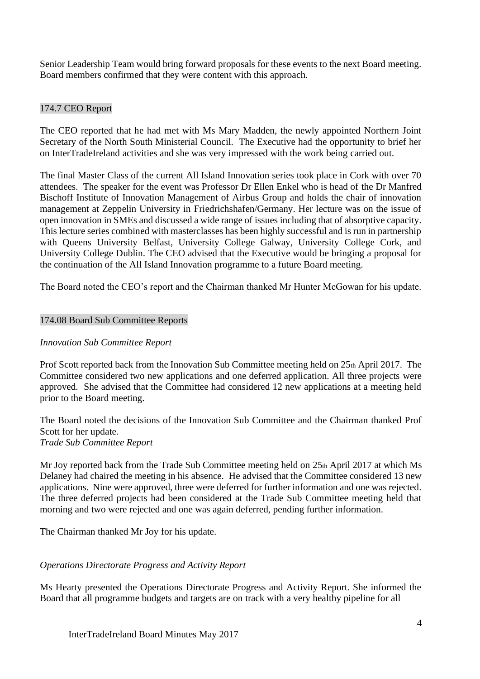Senior Leadership Team would bring forward proposals for these events to the next Board meeting. Board members confirmed that they were content with this approach.

## 174.7 CEO Report

The CEO reported that he had met with Ms Mary Madden, the newly appointed Northern Joint Secretary of the North South Ministerial Council. The Executive had the opportunity to brief her on InterTradeIreland activities and she was very impressed with the work being carried out.

The final Master Class of the current All Island Innovation series took place in Cork with over 70 attendees. The speaker for the event was Professor Dr Ellen Enkel who is head of the Dr Manfred Bischoff Institute of Innovation Management of Airbus Group and holds the chair of innovation management at Zeppelin University in Friedrichshafen/Germany. Her lecture was on the issue of open innovation in SMEs and discussed a wide range of issues including that of absorptive capacity. This lecture series combined with masterclasses has been highly successful and is run in partnership with Queens University Belfast, University College Galway, University College Cork, and University College Dublin. The CEO advised that the Executive would be bringing a proposal for the continuation of the All Island Innovation programme to a future Board meeting.

The Board noted the CEO's report and the Chairman thanked Mr Hunter McGowan for his update.

### 174.08 Board Sub Committee Reports

### *Innovation Sub Committee Report*

Prof Scott reported back from the Innovation Sub Committee meeting held on 25th April 2017. The Committee considered two new applications and one deferred application. All three projects were approved. She advised that the Committee had considered 12 new applications at a meeting held prior to the Board meeting.

The Board noted the decisions of the Innovation Sub Committee and the Chairman thanked Prof Scott for her update. *Trade Sub Committee Report*

Mr Joy reported back from the Trade Sub Committee meeting held on 25th April 2017 at which Ms Delaney had chaired the meeting in his absence. He advised that the Committee considered 13 new applications. Nine were approved, three were deferred for further information and one was rejected. The three deferred projects had been considered at the Trade Sub Committee meeting held that morning and two were rejected and one was again deferred, pending further information.

The Chairman thanked Mr Joy for his update.

### *Operations Directorate Progress and Activity Report*

Ms Hearty presented the Operations Directorate Progress and Activity Report. She informed the Board that all programme budgets and targets are on track with a very healthy pipeline for all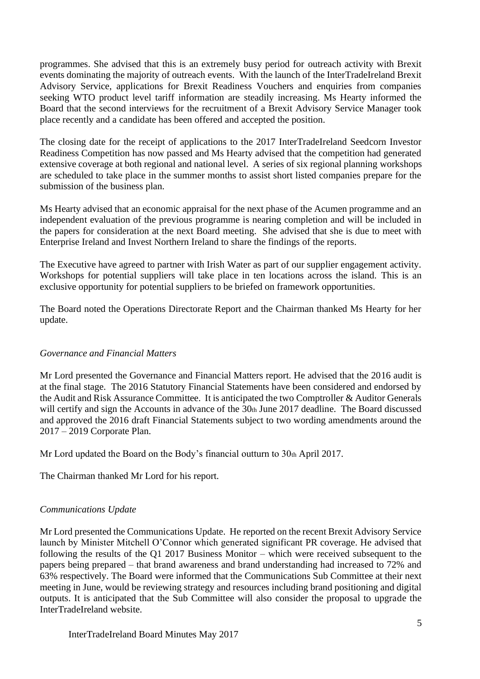programmes. She advised that this is an extremely busy period for outreach activity with Brexit events dominating the majority of outreach events. With the launch of the InterTradeIreland Brexit Advisory Service, applications for Brexit Readiness Vouchers and enquiries from companies seeking WTO product level tariff information are steadily increasing. Ms Hearty informed the Board that the second interviews for the recruitment of a Brexit Advisory Service Manager took place recently and a candidate has been offered and accepted the position.

The closing date for the receipt of applications to the 2017 InterTradeIreland Seedcorn Investor Readiness Competition has now passed and Ms Hearty advised that the competition had generated extensive coverage at both regional and national level. A series of six regional planning workshops are scheduled to take place in the summer months to assist short listed companies prepare for the submission of the business plan.

Ms Hearty advised that an economic appraisal for the next phase of the Acumen programme and an independent evaluation of the previous programme is nearing completion and will be included in the papers for consideration at the next Board meeting. She advised that she is due to meet with Enterprise Ireland and Invest Northern Ireland to share the findings of the reports.

The Executive have agreed to partner with Irish Water as part of our supplier engagement activity. Workshops for potential suppliers will take place in ten locations across the island. This is an exclusive opportunity for potential suppliers to be briefed on framework opportunities.

The Board noted the Operations Directorate Report and the Chairman thanked Ms Hearty for her update.

### *Governance and Financial Matters*

Mr Lord presented the Governance and Financial Matters report. He advised that the 2016 audit is at the final stage. The 2016 Statutory Financial Statements have been considered and endorsed by the Audit and Risk Assurance Committee. It is anticipated the two Comptroller & Auditor Generals will certify and sign the Accounts in advance of the 30th June 2017 deadline. The Board discussed and approved the 2016 draft Financial Statements subject to two wording amendments around the 2017 – 2019 Corporate Plan.

Mr Lord updated the Board on the Body's financial outturn to 30th April 2017.

The Chairman thanked Mr Lord for his report.

### *Communications Update*

Mr Lord presented the Communications Update. He reported on the recent Brexit Advisory Service launch by Minister Mitchell O'Connor which generated significant PR coverage. He advised that following the results of the Q1 2017 Business Monitor – which were received subsequent to the papers being prepared – that brand awareness and brand understanding had increased to 72% and 63% respectively. The Board were informed that the Communications Sub Committee at their next meeting in June, would be reviewing strategy and resources including brand positioning and digital outputs. It is anticipated that the Sub Committee will also consider the proposal to upgrade the InterTradeIreland website.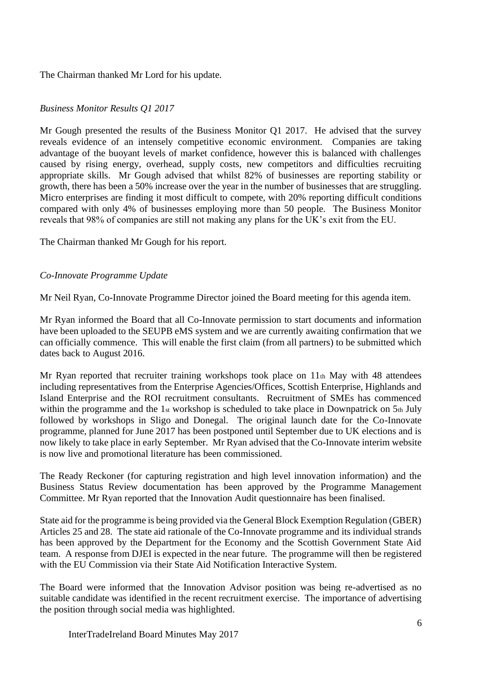The Chairman thanked Mr Lord for his update.

# *Business Monitor Results Q1 2017*

Mr Gough presented the results of the Business Monitor Q1 2017. He advised that the survey reveals evidence of an intensely competitive economic environment. Companies are taking advantage of the buoyant levels of market confidence, however this is balanced with challenges caused by rising energy, overhead, supply costs, new competitors and difficulties recruiting appropriate skills. Mr Gough advised that whilst 82% of businesses are reporting stability or growth, there has been a 50% increase over the year in the number of businesses that are struggling. Micro enterprises are finding it most difficult to compete, with 20% reporting difficult conditions compared with only 4% of businesses employing more than 50 people. The Business Monitor reveals that 98% of companies are still not making any plans for the UK's exit from the EU.

The Chairman thanked Mr Gough for his report.

### *Co-Innovate Programme Update*

Mr Neil Ryan, Co-Innovate Programme Director joined the Board meeting for this agenda item.

Mr Ryan informed the Board that all Co-Innovate permission to start documents and information have been uploaded to the SEUPB eMS system and we are currently awaiting confirmation that we can officially commence. This will enable the first claim (from all partners) to be submitted which dates back to August 2016.

Mr Ryan reported that recruiter training workshops took place on  $11<sub>th</sub>$  May with 48 attendees including representatives from the Enterprise Agencies/Offices, Scottish Enterprise, Highlands and Island Enterprise and the ROI recruitment consultants. Recruitment of SMEs has commenced within the programme and the 1st workshop is scheduled to take place in Downpatrick on 5th July followed by workshops in Sligo and Donegal. The original launch date for the Co-Innovate programme, planned for June 2017 has been postponed until September due to UK elections and is now likely to take place in early September. Mr Ryan advised that the Co-Innovate interim website is now live and promotional literature has been commissioned.

The Ready Reckoner (for capturing registration and high level innovation information) and the Business Status Review documentation has been approved by the Programme Management Committee. Mr Ryan reported that the Innovation Audit questionnaire has been finalised.

State aid for the programme is being provided via the General Block Exemption Regulation (GBER) Articles 25 and 28. The state aid rationale of the Co-Innovate programme and its individual strands has been approved by the Department for the Economy and the Scottish Government State Aid team. A response from DJEI is expected in the near future. The programme will then be registered with the EU Commission via their State Aid Notification Interactive System.

The Board were informed that the Innovation Advisor position was being re-advertised as no suitable candidate was identified in the recent recruitment exercise. The importance of advertising the position through social media was highlighted.